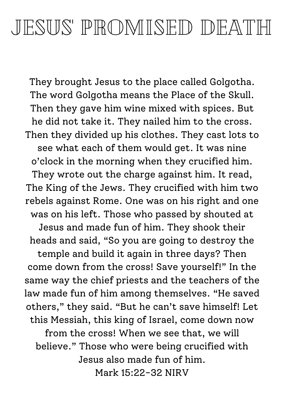## JESUS' PROMISED DEATH

They brought Jesus to the place called Golgotha. The word Golgotha means the Place of the Skull. Then they gave him wine mixed with spices. But he did not take it. They nailed him to the cross. Then they divided up his clothes. They cast lots to see what each of them would get. It was nine o'clock in the morning when they crucified him. They wrote out the charge against him. It read, The King of the Jews. They crucified with him two rebels against Rome. One was on his right and one was on his left. Those who passed by shouted at Jesus and made fun of him. They shook their heads and said, "So you are going to destroy the temple and build it again in three days? Then come down from the cross! Save yourself!" In the same way the chief priests and the teachers of the law made fun of him among themselves. "He saved others, " they said. "But he can't save himself! Let this Messiah, this king of Israel, come down now from the cross! When we see that, we will believe." Those who were being crucified with Jesus also made fun of him. Mark 15:22-32 NIRV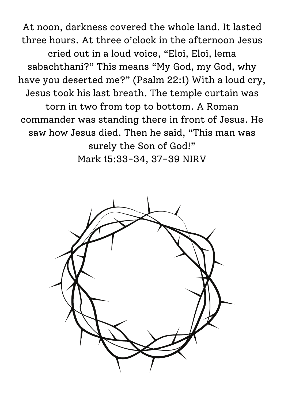At noon, darkness covered the whole land. It lasted three hours. At three o'clock in the afternoon Jesus cried out in a loud voice, "Eloi, Eloi, lema sabachthani?" This means "My God, my God, why have you deserted me?" (Psalm 22:1) With a loud cry, Jesus took his last breath. The temple curtain was torn in two from top to bottom. A Roman commander was standing there in front of Jesus. He saw how Jesus died. Then he said, "This man was surely the Son of God!" Mark 15:33-34, 37-39 NIRV